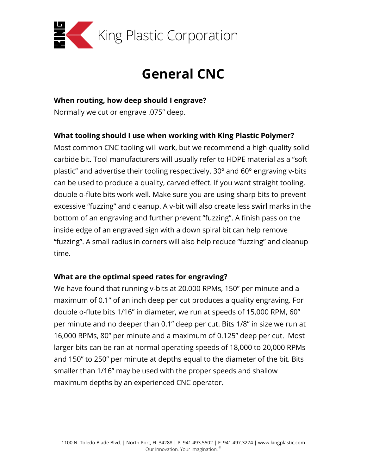

# **General CNC**

#### **When routing, how deep should I engrave?**

Normally we cut or engrave .075" deep.

## **What tooling should I use when working with King Plastic Polymer?**

Most common CNC tooling will work, but we recommend a high quality solid carbide bit. Tool manufacturers will usually refer to HDPE material as a "soft plastic" and advertise their tooling respectively. 30º and 60º engraving v-bits can be used to produce a quality, carved effect. If you want straight tooling, double o-flute bits work well. Make sure you are using sharp bits to prevent excessive "fuzzing" and cleanup. A v-bit will also create less swirl marks in the bottom of an engraving and further prevent "fuzzing". A finish pass on the inside edge of an engraved sign with a down spiral bit can help remove "fuzzing". A small radius in corners will also help reduce "fuzzing" and cleanup time.

### **What are the optimal speed rates for engraving?**

We have found that running v-bits at 20,000 RPMs, 150" per minute and a maximum of 0.1" of an inch deep per cut produces a quality engraving. For double o-flute bits 1/16" in diameter, we run at speeds of 15,000 RPM, 60" per minute and no deeper than 0.1" deep per cut. Bits 1/8" in size we run at 16,000 RPMs, 80" per minute and a maximum of 0.125" deep per cut. Most larger bits can be ran at normal operating speeds of 18,000 to 20,000 RPMs and 150" to 250" per minute at depths equal to the diameter of the bit. Bits smaller than 1/16" may be used with the proper speeds and shallow maximum depths by an experienced CNC operator.